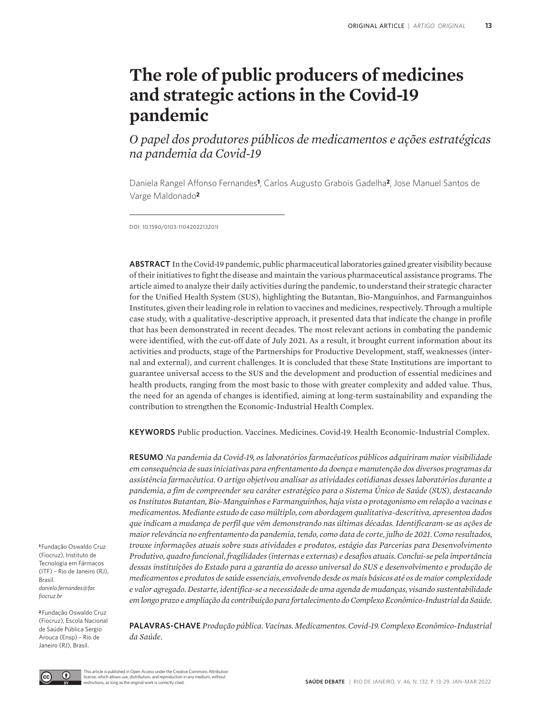# **The role of public producers of medicines and strategic actions in the Covid-19 pandemic**

*O papel dos produtores públicos de medicamentos e ações estratégicas na pandemia da Covid-19*

Daniela Rangel Affonso Fernandes**1**, Carlos Augusto Grabois Gadelha**2**, Jose Manuel Santos de Varge Maldonado**<sup>2</sup>**

DOI: 10.1590/0103-1104202213201I

**ABSTRACT** In the Covid-19 pandemic, public pharmaceutical laboratories gained greater visibility because of their initiatives to fight the disease and maintain the various pharmaceutical assistance programs. The article aimed to analyze their daily activities during the pandemic, to understand their strategic character for the Unified Health System (SUS), highlighting the Butantan, Bio-Manguinhos, and Farmanguinhos Institutes, given their leading role in relation to vaccines and medicines, respectively. Through a multiple case study, with a qualitative-descriptive approach, it presented data that indicate the change in profile that has been demonstrated in recent decades. The most relevant actions in combating the pandemic were identified, with the cut-off date of July 2021. As a result, it brought current information about its activities and products, stage of the Partnerships for Productive Development, staff, weaknesses (internal and external), and current challenges. It is concluded that these State Institutions are important to guarantee universal access to the SUS and the development and production of essential medicines and health products, ranging from the most basic to those with greater complexity and added value. Thus, the need for an agenda of changes is identified, aiming at long-term sustainability and expanding the contribution to strengthen the Economic-Industrial Health Complex.

**KEYWORDS** Public production. Vaccines. Medicines. Covid-19. Health Economic-Industrial Complex.

**RESUMO** *Na pandemia da Covid-19, os laboratórios farmacêuticos públicos adquiriram maior visibilidade em consequência de suas iniciativas para enfrentamento da doença e manutenção dos diversos programas da assistência farmacêutica. O artigo objetivou analisar as atividades cotidianas desses laboratórios durante a pandemia, a fim de compreender seu caráter estratégico para o Sistema Único de Saúde (SUS), destacando os Institutos Butantan, Bio-Manguinhos e Farmanguinhos, haja vista o protagonismo em relação a vacinas e medicamentos. Mediante estudo de caso múltiplo, com abordagem qualitativa-descritiva, apresentou dados que indicam a mudança de perfil que vêm demonstrando nas últimas décadas. Identificaram-se as ações de maior relevância no enfrentamento da pandemia, tendo, como data de corte, julho de 2021. Como resultados, trouxe informações atuais sobre suas atividades e produtos, estágio das Parcerias para Desenvolvimento Produtivo, quadro funcional, fragilidades (internas e externas) e desafios atuais. Conclui-se pela importância dessas instituições do Estado para a garantia do acesso universal do SUS e desenvolvimento e produção de medicamentos e produtos de saúde essenciais, envolvendo desde os mais básicos até os de maior complexidade e valor agregado. Destarte, identifica-se a necessidade de uma agenda de mudanças, visando sustentabilidade em longo prazo e ampliação da contribuição para fortalecimento do Complexo Econômico-Industrial da Saúde.*

**<sup>1</sup>**Fundação Oswaldo Cruz (Fiocruz), Instituto de Tecnologia em Fármacos (ITF) – Rio de Janeiro (RJ), Brasil. *daniela.fernandes@far. fiocruz.br*

**<sup>2</sup>**Fundação Oswaldo Cruz (Fiocruz), Escola Nacional de Saúde Pública Sergio Arouca (Ensp) – Rio de Janeiro (RJ), Brasil.

**PALAVRAS-CHAVE** *Produção pública. Vacinas. Medicamentos. Covid-19. Complexo Econômico-Industrial da Saúde.*



This article is published in Open Access under the Creative Commons Attribution license, which allows use, distribution, and reproduction in any medium, without restrictions, as long as the original work is correctly cited.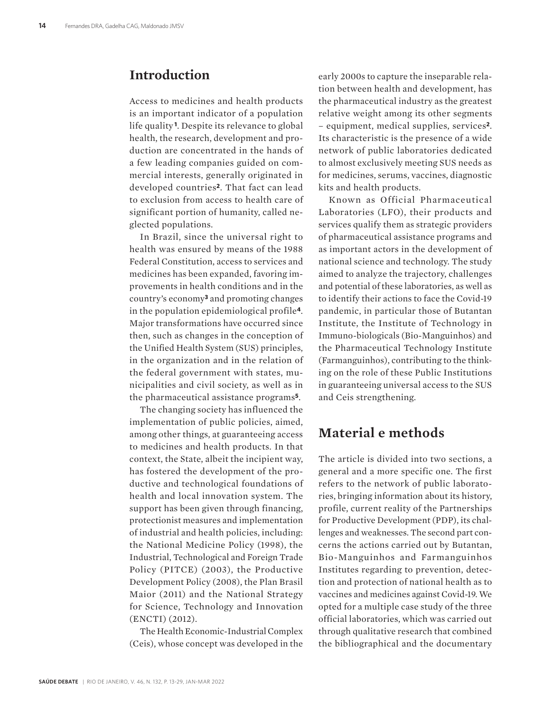# **Introduction**

Access to medicines and health products is an important indicator of a population life quality **1**. Despite its relevance to global health, the research, development and production are concentrated in the hands of a few leading companies guided on commercial interests, generally originated in developed countries**2**. That fact can lead to exclusion from access to health care of significant portion of humanity, called neglected populations.

In Brazil, since the universal right to health was ensured by means of the 1988 Federal Constitution, access to services and medicines has been expanded, favoring improvements in health conditions and in the country's economy**3** and promoting changes in the population epidemiological profile**4**. Major transformations have occurred since then, such as changes in the conception of the Unified Health System (SUS) principles, in the organization and in the relation of the federal government with states, municipalities and civil society, as well as in the pharmaceutical assistance programs**5**.

The changing society has influenced the implementation of public policies, aimed, among other things, at guaranteeing access to medicines and health products. In that context, the State, albeit the incipient way, has fostered the development of the productive and technological foundations of health and local innovation system. The support has been given through financing, protectionist measures and implementation of industrial and health policies, including: the National Medicine Policy (1998), the Industrial, Technological and Foreign Trade Policy (PITCE) (2003), the Productive Development Policy (2008), the Plan Brasil Maior (2011) and the National Strategy for Science, Technology and Innovation (ENCTI) (2012).

The Health Economic-Industrial Complex (Ceis), whose concept was developed in the

early 2000s to capture the inseparable relation between health and development, has the pharmaceutical industry as the greatest relative weight among its other segments – equipment, medical supplies, services**2**. Its characteristic is the presence of a wide network of public laboratories dedicated to almost exclusively meeting SUS needs as for medicines, serums, vaccines, diagnostic kits and health products.

Known as Official Pharmaceutical Laboratories (LFO), their products and services qualify them as strategic providers of pharmaceutical assistance programs and as important actors in the development of national science and technology. The study aimed to analyze the trajectory, challenges and potential of these laboratories, as well as to identify their actions to face the Covid-19 pandemic, in particular those of Butantan Institute, the Institute of Technology in Immuno-biologicals (Bio-Manguinhos) and the Pharmaceutical Technology Institute (Farmanguinhos), contributing to the thinking on the role of these Public Institutions in guaranteeing universal access to the SUS and Ceis strengthening.

# **Material e methods**

The article is divided into two sections, a general and a more specific one. The first refers to the network of public laboratories, bringing information about its history, profile, current reality of the Partnerships for Productive Development (PDP), its challenges and weaknesses. The second part concerns the actions carried out by Butantan, Bio-Manguinhos and Farmanguinhos Institutes regarding to prevention, detection and protection of national health as to vaccines and medicines against Covid-19. We opted for a multiple case study of the three official laboratories, which was carried out through qualitative research that combined the bibliographical and the documentary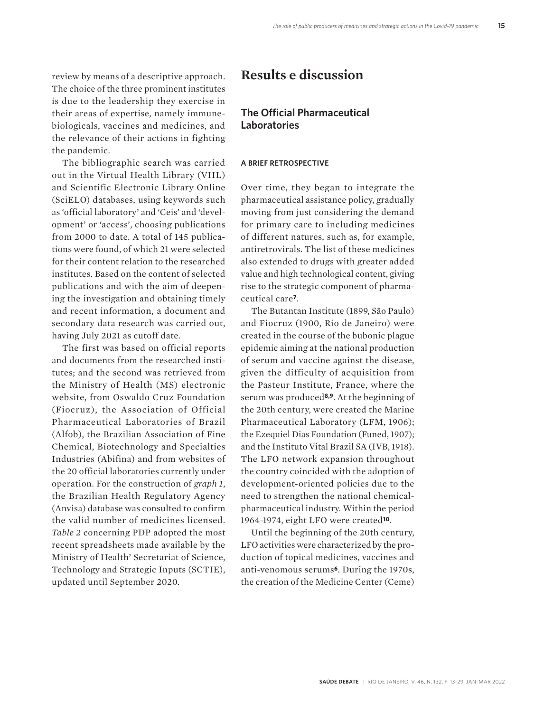review by means of a descriptive approach. The choice of the three prominent institutes is due to the leadership they exercise in their areas of expertise, namely immunebiologicals, vaccines and medicines, and the relevance of their actions in fighting the pandemic.

The bibliographic search was carried out in the Virtual Health Library (VHL) and Scientific Electronic Library Online (SciELO) databases, using keywords such as 'official laboratory' and 'Ceis' and 'development' or 'access', choosing publications from 2000 to date. A total of 145 publications were found, of which 21 were selected for their content relation to the researched institutes. Based on the content of selected publications and with the aim of deepening the investigation and obtaining timely and recent information, a document and secondary data research was carried out, having July 2021 as cutoff date.

The first was based on official reports and documents from the researched institutes; and the second was retrieved from the Ministry of Health (MS) electronic website, from Oswaldo Cruz Foundation (Fiocruz), the Association of Official Pharmaceutical Laboratories of Brazil (Alfob), the Brazilian Association of Fine Chemical, Biotechnology and Specialties Industries (Abifina) and from websites of the 20 official laboratories currently under operation. For the construction of *graph 1*, the Brazilian Health Regulatory Agency (Anvisa) database was consulted to confirm the valid number of medicines licensed. *Table 2* concerning PDP adopted the most recent spreadsheets made available by the Ministry of Health' Secretariat of Science, Technology and Strategic Inputs (SCTIE), updated until September 2020.

# **Results e discussion**

### **The Official Pharmaceutical Laboratories**

#### **A BRIEF RETROSPECTIVE**

Over time, they began to integrate the pharmaceutical assistance policy, gradually moving from just considering the demand for primary care to including medicines of different natures, such as, for example, antiretrovirals. The list of these medicines also extended to drugs with greater added value and high technological content, giving rise to the strategic component of pharmaceutical care**7**.

The Butantan Institute (1899, São Paulo) and Fiocruz (1900, Rio de Janeiro) were created in the course of the bubonic plague epidemic aiming at the national production of serum and vaccine against the disease, given the difficulty of acquisition from the Pasteur Institute, France, where the serum was produced**8,9**. At the beginning of the 20th century, were created the Marine Pharmaceutical Laboratory (LFM, 1906); the Ezequiel Dias Foundation (Funed, 1907); and the Instituto Vital Brazil SA (IVB, 1918). The LFO network expansion throughout the country coincided with the adoption of development-oriented policies due to the need to strengthen the national chemicalpharmaceutical industry. Within the period 1964-1974, eight LFO were created**10**.

Until the beginning of the 20th century, LFO activities were characterized by the production of topical medicines, vaccines and anti-venomous serums**6**. During the 1970s, the creation of the Medicine Center (Ceme)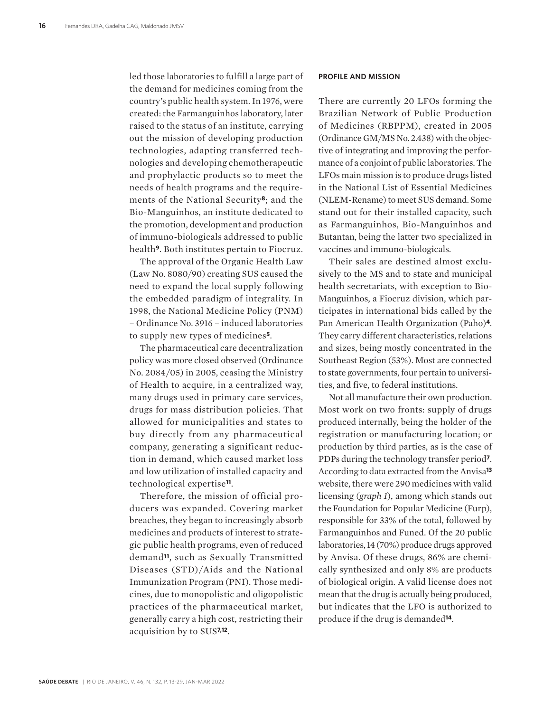led those laboratories to fulfill a large part of the demand for medicines coming from the country's public health system. In 1976, were created: the Farmanguinhos laboratory, later raised to the status of an institute, carrying out the mission of developing production technologies, adapting transferred technologies and developing chemotherapeutic and prophylactic products so to meet the needs of health programs and the requirements of the National Security**8**; and the Bio-Manguinhos, an institute dedicated to the promotion, development and production of immuno-biologicals addressed to public health**9**. Both institutes pertain to Fiocruz.

The approval of the Organic Health Law (Law No. 8080/90) creating SUS caused the need to expand the local supply following the embedded paradigm of integrality. In 1998, the National Medicine Policy (PNM) – Ordinance No. 3916 – induced laboratories to supply new types of medicines**5**.

The pharmaceutical care decentralization policy was more closed observed (Ordinance No. 2084/05) in 2005, ceasing the Ministry of Health to acquire, in a centralized way, many drugs used in primary care services, drugs for mass distribution policies. That allowed for municipalities and states to buy directly from any pharmaceutical company, generating a significant reduction in demand, which caused market loss and low utilization of installed capacity and technological expertise**11**.

Therefore, the mission of official producers was expanded. Covering market breaches, they began to increasingly absorb medicines and products of interest to strategic public health programs, even of reduced demand**11**, such as Sexually Transmitted Diseases (STD)/Aids and the National Immunization Program (PNI). Those medicines, due to monopolistic and oligopolistic practices of the pharmaceutical market, generally carry a high cost, restricting their acquisition by to SUS**7,12**.

#### **PROFILE AND MISSION**

There are currently 20 LFOs forming the Brazilian Network of Public Production of Medicines (RBPPM), created in 2005 (Ordinance GM/MS No. 2.438) with the objective of integrating and improving the performance of a conjoint of public laboratories. The LFOs main mission is to produce drugs listed in the National List of Essential Medicines (NLEM-Rename) to meet SUS demand. Some stand out for their installed capacity, such as Farmanguinhos, Bio-Manguinhos and Butantan, being the latter two specialized in vaccines and immuno-biologicals.

Their sales are destined almost exclusively to the MS and to state and municipal health secretariats, with exception to Bio-Manguinhos, a Fiocruz division, which participates in international bids called by the Pan American Health Organization (Paho)**4**. They carry different characteristics, relations and sizes, being mostly concentrated in the Southeast Region (53%). Most are connected to state governments, four pertain to universities, and five, to federal institutions.

Not all manufacture their own production. Most work on two fronts: supply of drugs produced internally, being the holder of the registration or manufacturing location; or production by third parties, as is the case of PDPs during the technology transfer period**7**. According to data extracted from the Anvisa**<sup>13</sup>** website, there were 290 medicines with valid licensing (*graph 1*), among which stands out the Foundation for Popular Medicine (Furp), responsible for 33% of the total, followed by Farmanguinhos and Funed. Of the 20 public laboratories, 14 (70%) produce drugs approved by Anvisa. Of these drugs, 86% are chemically synthesized and only 8% are products of biological origin. A valid license does not mean that the drug is actually being produced, but indicates that the LFO is authorized to produce if the drug is demanded**14**.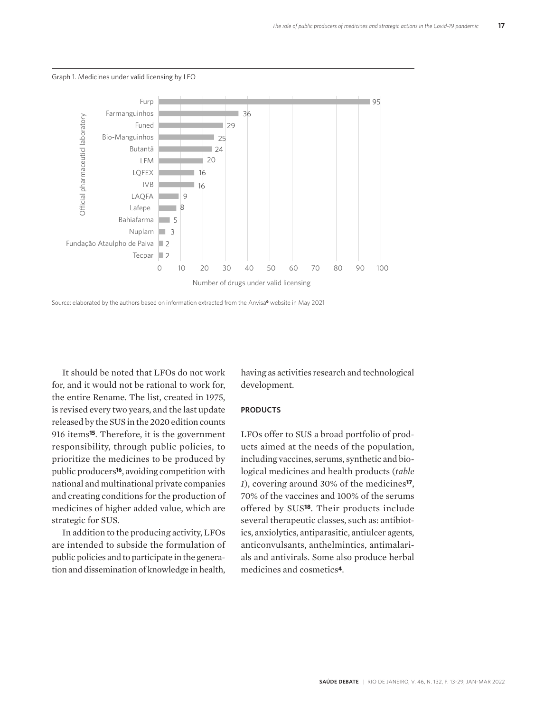

Graph 1. Medicines under valid licensing by LFO



It should be noted that LFOs do not work for, and it would not be rational to work for, the entire Rename. The list, created in 1975, is revised every two years, and the last update released by the SUS in the 2020 edition counts 916 items**15**. Therefore, it is the government responsibility, through public policies, to prioritize the medicines to be produced by public producers**16**, avoiding competition with national and multinational private companies and creating conditions for the production of medicines of higher added value, which are strategic for SUS.

In addition to the producing activity, LFOs are intended to subside the formulation of public policies and to participate in the generation and dissemination of knowledge in health,

having as activities research and technological development.

#### **PRODUCTS**

LFOs offer to SUS a broad portfolio of products aimed at the needs of the population, including vaccines, serums, synthetic and biological medicines and health products (*table 1*), covering around 30% of the medicines**17**, 70% of the vaccines and 100% of the serums offered by SUS**18**. Their products include several therapeutic classes, such as: antibiotics, anxiolytics, antiparasitic, antiulcer agents, anticonvulsants, anthelmintics, antimalarials and antivirals. Some also produce herbal medicines and cosmetics**4**.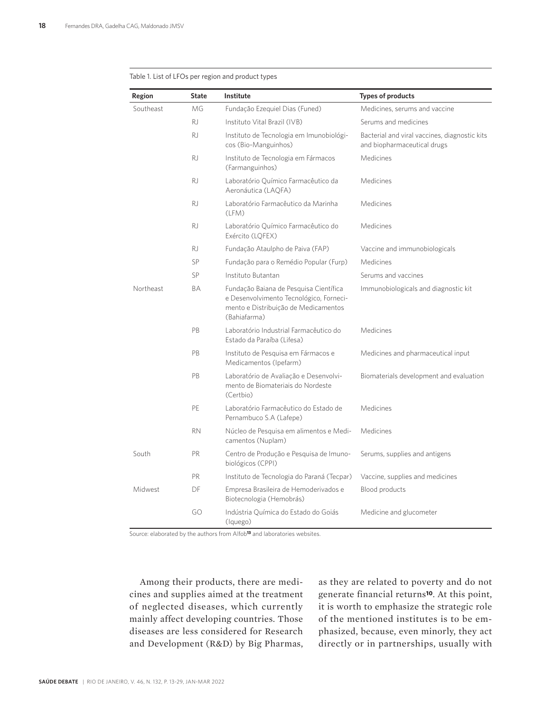| Region    | <b>State</b> | <b>Institute</b>                                                                                                                          | <b>Types of products</b>                                                     |
|-----------|--------------|-------------------------------------------------------------------------------------------------------------------------------------------|------------------------------------------------------------------------------|
| Southeast | MG           | Fundação Ezequiel Dias (Funed)                                                                                                            | Medicines, serums and vaccine                                                |
|           | <b>RJ</b>    | Instituto Vital Brazil (IVB)                                                                                                              | Serums and medicines                                                         |
|           | <b>RJ</b>    | Instituto de Tecnologia em Imunobiológi-<br>cos (Bio-Manguinhos)                                                                          | Bacterial and viral vaccines, diagnostic kits<br>and biopharmaceutical drugs |
|           | <b>RJ</b>    | Instituto de Tecnologia em Fármacos<br>(Farmanguinhos)                                                                                    | Medicines                                                                    |
|           | R.           | Laboratório Químico Farmacêutico da<br>Aeronáutica (LAQFA)                                                                                | Medicines                                                                    |
|           | R.           | Laboratório Farmacêutico da Marinha<br>(LFM)                                                                                              | Medicines                                                                    |
|           | <b>RJ</b>    | Laboratório Químico Farmacêutico do<br>Exército (LOFEX)                                                                                   | Medicines                                                                    |
|           | RJ.          | Fundação Ataulpho de Paiva (FAP)                                                                                                          | Vaccine and immunobiologicals                                                |
|           | SP           | Fundação para o Remédio Popular (Furp)                                                                                                    | Medicines                                                                    |
|           | SP           | Instituto Butantan                                                                                                                        | Serums and vaccines                                                          |
| Northeast | BA           | Fundação Baiana de Pesquisa Científica<br>e Desenvolvimento Tecnológico, Forneci-<br>mento e Distribuição de Medicamentos<br>(Bahiafarma) | Immunobiologicals and diagnostic kit                                         |
|           | PB           | Laboratório Industrial Farmacêutico do<br>Estado da Paraíba (Lifesa)                                                                      | Medicines                                                                    |
|           | PB           | Instituto de Pesquisa em Fármacos e<br>Medicamentos (Ipefarm)                                                                             | Medicines and pharmaceutical input                                           |
|           | PB           | Laboratório de Avaliação e Desenvolvi-<br>mento de Biomateriais do Nordeste<br>(Certbio)                                                  | Biomaterials development and evaluation                                      |
|           | PE           | Laboratório Farmacêutico do Estado de<br>Pernambuco S.A (Lafepe)                                                                          | Medicines                                                                    |
|           | <b>RN</b>    | Núcleo de Pesquisa em alimentos e Medi-<br>camentos (Nuplam)                                                                              | Medicines                                                                    |
| South     | PR           | Centro de Produção e Pesquisa de Imuno-<br>biológicos (CPPI)                                                                              | Serums, supplies and antigens                                                |
|           | <b>PR</b>    | Instituto de Tecnologia do Paraná (Tecpar)                                                                                                | Vaccine, supplies and medicines                                              |
| Midwest   | DF           | Empresa Brasileira de Hemoderivados e<br>Biotecnologia (Hemobrás)                                                                         | Blood products                                                               |
|           | GO           | Indústria Ouímica do Estado do Goiás<br>(Iquego)                                                                                          | Medicine and glucometer                                                      |

#### Table 1. List of LFOs per region and product types

Source: elaborated by the authors from Alfob**13** and laboratories websites.

Among their products, there are medicines and supplies aimed at the treatment of neglected diseases, which currently mainly affect developing countries. Those diseases are less considered for Research and Development (R&D) by Big Pharmas, as they are related to poverty and do not generate financial returns**10**. At this point, it is worth to emphasize the strategic role of the mentioned institutes is to be emphasized, because, even minorly, they act directly or in partnerships, usually with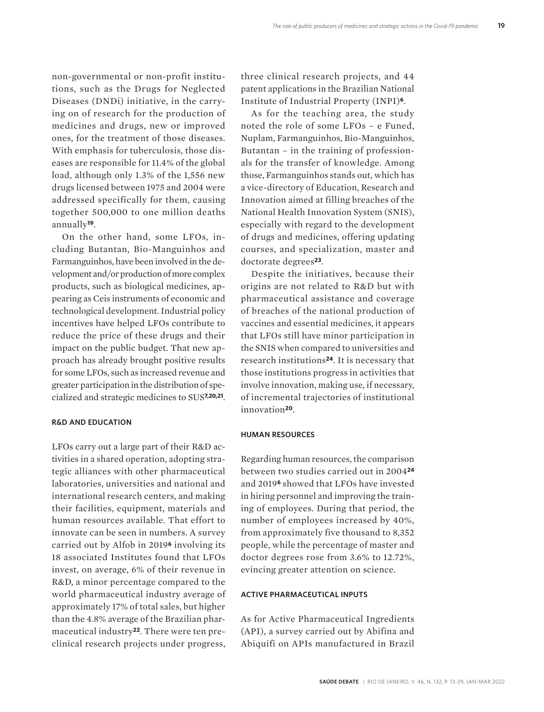non-governmental or non-profit institutions, such as the Drugs for Neglected Diseases (DNDi) initiative, in the carrying on of research for the production of medicines and drugs, new or improved ones, for the treatment of those diseases. With emphasis for tuberculosis, those diseases are responsible for 11.4% of the global load, although only 1.3% of the 1,556 new drugs licensed between 1975 and 2004 were addressed specifically for them, causing together 500,000 to one million deaths annually**19**.

On the other hand, some LFOs, including Butantan, Bio-Manguinhos and Farmanguinhos, have been involved in the development and/or production of more complex products, such as biological medicines, appearing as Ceis instruments of economic and technological development. Industrial policy incentives have helped LFOs contribute to reduce the price of these drugs and their impact on the public budget. That new approach has already brought positive results for some LFOs, such as increased revenue and greater participation in the distribution of specialized and strategic medicines to SUS**7,20,21**.

#### **R&D AND EDUCATION**

LFOs carry out a large part of their R&D activities in a shared operation, adopting strategic alliances with other pharmaceutical laboratories, universities and national and international research centers, and making their facilities, equipment, materials and human resources available. That effort to innovate can be seen in numbers. A survey carried out by Alfob in 2019**6** involving its 18 associated Institutes found that LFOs invest, on average, 6% of their revenue in R&D, a minor percentage compared to the world pharmaceutical industry average of approximately 17% of total sales, but higher than the 4.8% average of the Brazilian pharmaceutical industry**22**. There were ten preclinical research projects under progress,

three clinical research projects, and 44 patent applications in the Brazilian National Institute of Industrial Property (INPI)**6**.

As for the teaching area, the study noted the role of some LFOs – e Funed, Nuplam, Farmanguinhos, Bio-Manguinhos, Butantan – in the training of professionals for the transfer of knowledge. Among those, Farmanguinhos stands out, which has a vice-directory of Education, Research and Innovation aimed at filling breaches of the National Health Innovation System (SNIS), especially with regard to the development of drugs and medicines, offering updating courses, and specialization, master and doctorate degrees**23**.

Despite the initiatives, because their origins are not related to R&D but with pharmaceutical assistance and coverage of breaches of the national production of vaccines and essential medicines, it appears that LFOs still have minor participation in the SNIS when compared to universities and research institutions**24**. It is necessary that those institutions progress in activities that involve innovation, making use, if necessary, of incremental trajectories of institutional innovation**20**.

#### **HUMAN RESOURCES**

Regarding human resources, the comparison between two studies carried out in 2004**<sup>24</sup>** and 2019**6** showed that LFOs have invested in hiring personnel and improving the training of employees. During that period, the number of employees increased by 40%, from approximately five thousand to 8,352 people, while the percentage of master and doctor degrees rose from 3.6% to 12.72%, evincing greater attention on science.

#### **ACTIVE PHARMACEUTICAL INPUTS**

As for Active Pharmaceutical Ingredients (API), a survey carried out by Abifina and Abiquifi on APIs manufactured in Brazil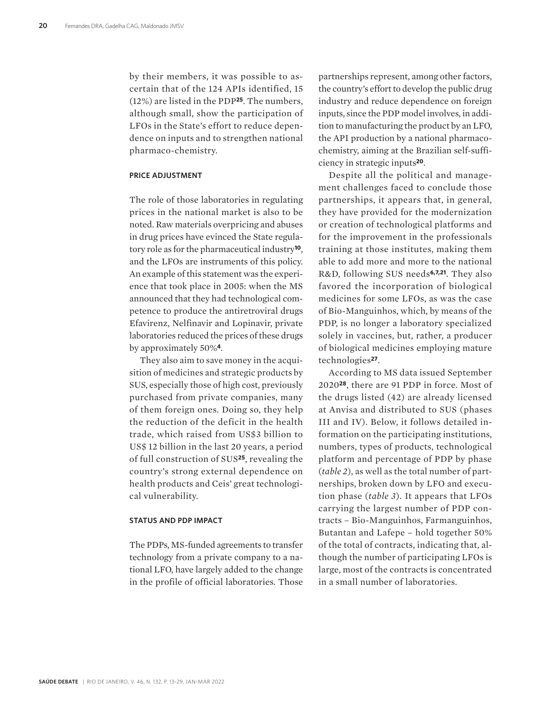by their members, it was possible to ascertain that of the 124 APIs identified, 15 (12%) are listed in the PDP**25**. The numbers, although small, show the participation of LFOs in the State's effort to reduce dependence on inputs and to strengthen national pharmaco-chemistry.

#### **PRICE ADJUSTMENT**

The role of those laboratories in regulating prices in the national market is also to be noted. Raw materials overpricing and abuses in drug prices have evinced the State regulatory role as for the pharmaceutical industry**10**, and the LFOs are instruments of this policy. An example of this statement was the experience that took place in 2005: when the MS announced that they had technological competence to produce the antiretroviral drugs Efavirenz, Nelfinavir and Lopinavir, private laboratories reduced the prices of these drugs by approximately 50%**4**.

They also aim to save money in the acquisition of medicines and strategic products by SUS, especially those of high cost, previously purchased from private companies, many of them foreign ones. Doing so, they help the reduction of the deficit in the health trade, which raised from US\$3 billion to US\$ 12 billion in the last 20 years, a period of full construction of SUS**25**, revealing the country's strong external dependence on health products and Ceis' great technological vulnerability.

#### **STATUS AND PDP IMPACT**

The PDPs, MS-funded agreements to transfer technology from a private company to a national LFO, have largely added to the change in the profile of official laboratories. Those

partnerships represent, among other factors, the country's effort to develop the public drug industry and reduce dependence on foreign inputs, since the PDP model involves, in addition to manufacturing the product by an LFO, the API production by a national pharmacochemistry, aiming at the Brazilian self-sufficiency in strategic inputs**20**.

Despite all the political and management challenges faced to conclude those partnerships, it appears that, in general, they have provided for the modernization or creation of technological platforms and for the improvement in the professionals training at those institutes, making them able to add more and more to the national R&D, following SUS needs**6,7,21**. They also favored the incorporation of biological medicines for some LFOs, as was the case of Bio-Manguinhos, which, by means of the PDP, is no longer a laboratory specialized solely in vaccines, but, rather, a producer of biological medicines employing mature technologies**27**.

According to MS data issued September 2020**28**, there are 91 PDP in force. Most of the drugs listed (42) are already licensed at Anvisa and distributed to SUS (phases III and IV). Below, it follows detailed information on the participating institutions, numbers, types of products, technological platform and percentage of PDP by phase (*table 2*), as well as the total number of partnerships, broken down by LFO and execution phase (*table 3*). It appears that LFOs carrying the largest number of PDP contracts – Bio-Manguinhos, Farmanguinhos, Butantan and Lafepe – hold together 50% of the total of contracts, indicating that, although the number of participating LFOs is large, most of the contracts is concentrated in a small number of laboratories.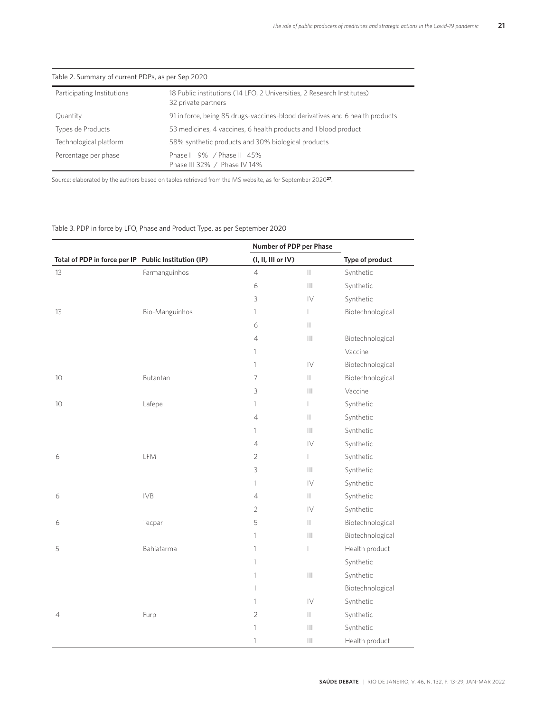| Table 2. Summary of current PDPs, as per Sep 2020 |                                                                                               |  |  |
|---------------------------------------------------|-----------------------------------------------------------------------------------------------|--|--|
| Participating Institutions                        | 18 Public institutions (14 LFO, 2 Universities, 2 Research Institutes)<br>32 private partners |  |  |
| Quantity                                          | 91 in force, being 85 drugs-vaccines-blood derivatives and 6 health products                  |  |  |
| Types de Products                                 | 53 medicines, 4 vaccines, 6 health products and 1 blood product                               |  |  |
| Technological platform                            | 58% synthetic products and 30% biological products                                            |  |  |
| Percentage per phase                              | Phase   9% / Phase    45%<br>Phase III 32% / Phase IV 14%                                     |  |  |

#### Table 2. Summary of current PDPs, as per Sep 2020

Source: elaborated by the authors based on tables retrieved from the MS website, as for September 2020**27**.

### Table 3. PDP in force by LFO, Phase and Product Type, as per September 2020

|                                                      |                | Number of PDP per Phase  |                   |                  |
|------------------------------------------------------|----------------|--------------------------|-------------------|------------------|
| Total of PDP in force per IP Public Institution (IP) |                | (I, II, III or IV)       |                   | Type of product  |
| 13                                                   | Farmanguinhos  | $\overline{4}$           | $\mathbb{H}$      | Synthetic        |
|                                                      |                | $\epsilon$               |                   | Synthetic        |
|                                                      |                | 3                        | $\overline{V}$    | Synthetic        |
| 13                                                   | Bio-Manguinhos | $\mathbf{1}$             | $\mathbb{L}$      | Biotechnological |
|                                                      |                | 6                        | $\mathbf{  }$     |                  |
|                                                      |                | $\sqrt{4}$               | $\  \cdot \ $     | Biotechnological |
|                                                      |                | 1                        |                   | Vaccine          |
|                                                      |                | $\mathbf{1}$             | $ {\bf \bigvee}$  | Biotechnological |
| 10 <sup>°</sup>                                      | Butantan       | $\overline{\phantom{a}}$ | $\mathbf{H}$      | Biotechnological |
|                                                      |                | 3                        | $\mathbb{H}$      | Vaccine          |
| $10\,$                                               | Lafepe         | 1                        | $\mathbb{L}$      | Synthetic        |
|                                                      |                | $\sqrt{4}$               | $\mathbf{H}$      | Synthetic        |
|                                                      |                | $\mathbf{1}$             | $\mathbb{H}$      | Synthetic        |
|                                                      |                | $\sqrt{4}$               | $\mathsf{IV}$     | Synthetic        |
| 6                                                    | LFM            | $\overline{c}$           | $\ $              | Synthetic        |
|                                                      |                | 3                        | $\vert\vert\vert$ | Synthetic        |
|                                                      |                | $\mathbf{1}$             | $\mathsf{IV}$     | Synthetic        |
| 6                                                    | <b>IVB</b>     | 4                        | $\vert\vert$      | Synthetic        |
|                                                      |                | $\mathbf{2}$             | $\mathsf{IV}$     | Synthetic        |
| 6                                                    | Tecpar         | 5                        | $\vert\vert$      | Biotechnological |
|                                                      |                | 1                        | $\vert\vert\vert$ | Biotechnological |
| 5                                                    | Bahiafarma     | $\mathbf{1}$             | $\mathbb{L}$      | Health product   |
|                                                      |                | $\mathbf{1}$             |                   | Synthetic        |
|                                                      |                | 1                        | $\vert\vert\vert$ | Synthetic        |
|                                                      |                | 1                        |                   | Biotechnological |
|                                                      |                | $\mathbf{1}$             | $\mathsf{IV}$     | Synthetic        |
| 4                                                    | Furp           | $\mathbf{2}$             | $\vert\vert$      | Synthetic        |
|                                                      |                | 1                        | Ш                 | Synthetic        |
|                                                      |                | 1                        | Ш                 | Health product   |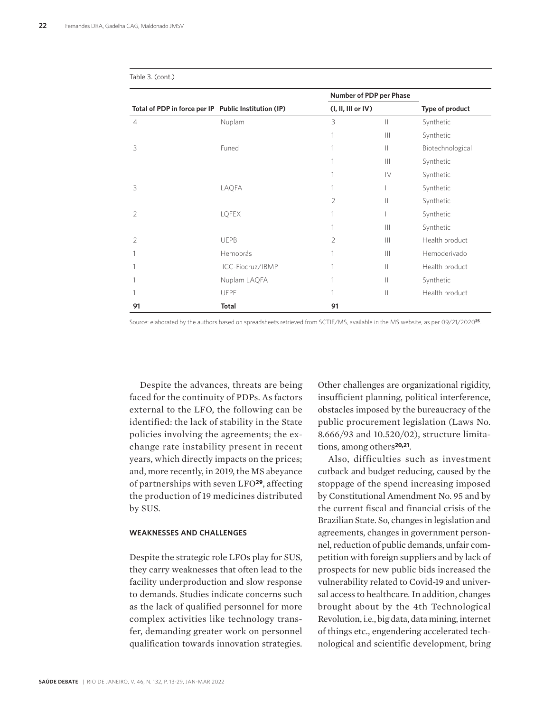|                                                      |                  |                        | Number of PDP per Phase |                  |
|------------------------------------------------------|------------------|------------------------|-------------------------|------------------|
| Total of PDP in force per IP Public Institution (IP) |                  | $(I, II, III$ or $IV)$ |                         | Type of product  |
| $\overline{4}$                                       | Nuplam           | 3                      | $\mathbf{  }$           | Synthetic        |
|                                                      |                  |                        | $\mathbb{H}$            | Synthetic        |
| 3                                                    | Funed            | 1                      | $\mathbb{H}$            | Biotechnological |
|                                                      |                  |                        |                         | Synthetic        |
|                                                      |                  |                        | IV                      | Synthetic        |
| 3                                                    | LAQFA            |                        |                         | Synthetic        |
|                                                      |                  | $\overline{2}$         | $\mathbb{I}$            | Synthetic        |
| $\mathfrak{D}$                                       | LQFEX            |                        |                         | Synthetic        |
|                                                      |                  |                        | $\mathbb{H}$            | Synthetic        |
| $\mathfrak{D}$                                       | <b>UEPB</b>      | $\overline{2}$         |                         | Health product   |
|                                                      | Hemobrás         |                        | $\mathbb{H}$            | Hemoderivado     |
|                                                      | ICC-Fiocruz/IBMP |                        | $\mathbb{H}$            | Health product   |
|                                                      | Nuplam LAQFA     | 1                      | $\ $                    | Synthetic        |
|                                                      | <b>UFPE</b>      | 1                      | $\parallel$             | Health product   |
| 91                                                   | <b>Total</b>     | 91                     |                         |                  |

Table 3. (cont.)

Source: elaborated by the authors based on spreadsheets retrieved from SCTIE/MS, available in the MS website, as per 09/21/2020**25**.

Despite the advances, threats are being faced for the continuity of PDPs. As factors external to the LFO, the following can be identified: the lack of stability in the State policies involving the agreements; the exchange rate instability present in recent years, which directly impacts on the prices; and, more recently, in 2019, the MS abeyance of partnerships with seven LFO**29**, affecting the production of 19 medicines distributed by SUS.

#### **WEAKNESSES AND CHALLENGES**

Despite the strategic role LFOs play for SUS, they carry weaknesses that often lead to the facility underproduction and slow response to demands. Studies indicate concerns such as the lack of qualified personnel for more complex activities like technology transfer, demanding greater work on personnel qualification towards innovation strategies.

Other challenges are organizational rigidity, insufficient planning, political interference, obstacles imposed by the bureaucracy of the public procurement legislation (Laws No. 8.666/93 and 10.520/02), structure limitations, among others**20,21**.

Also, difficulties such as investment cutback and budget reducing, caused by the stoppage of the spend increasing imposed by Constitutional Amendment No. 95 and by the current fiscal and financial crisis of the Brazilian State. So, changes in legislation and agreements, changes in government personnel, reduction of public demands, unfair competition with foreign suppliers and by lack of prospects for new public bids increased the vulnerability related to Covid-19 and universal access to healthcare. In addition, changes brought about by the 4th Technological Revolution, i.e., big data, data mining, internet of things etc., engendering accelerated technological and scientific development, bring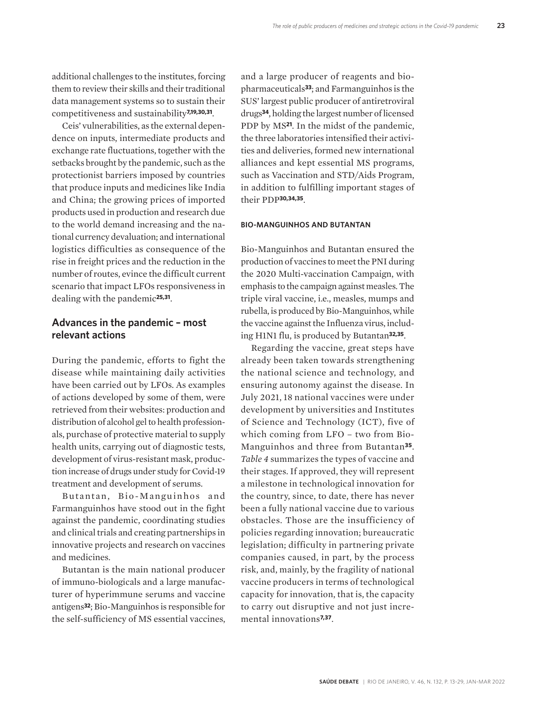additional challenges to the institutes, forcing them to review their skills and their traditional data management systems so to sustain their competitiveness and sustainability**7,19,30,31**.

Ceis' vulnerabilities, as the external dependence on inputs, intermediate products and exchange rate fluctuations, together with the setbacks brought by the pandemic, such as the protectionist barriers imposed by countries that produce inputs and medicines like India and China; the growing prices of imported products used in production and research due to the world demand increasing and the national currency devaluation; and international logistics difficulties as consequence of the rise in freight prices and the reduction in the number of routes, evince the difficult current scenario that impact LFOs responsiveness in dealing with the pandemic**25,31**.

### **Advances in the pandemic – most relevant actions**

During the pandemic, efforts to fight the disease while maintaining daily activities have been carried out by LFOs. As examples of actions developed by some of them, were retrieved from their websites: production and distribution of alcohol gel to health professionals, purchase of protective material to supply health units, carrying out of diagnostic tests, development of virus-resistant mask, production increase of drugs under study for Covid-19 treatment and development of serums.

Butantan, Bio-Manguinhos and Farmanguinhos have stood out in the fight against the pandemic, coordinating studies and clinical trials and creating partnerships in innovative projects and research on vaccines and medicines.

Butantan is the main national producer of immuno-biologicals and a large manufacturer of hyperimmune serums and vaccine antigens**32**; Bio-Manguinhos is responsible for the self-sufficiency of MS essential vaccines,

and a large producer of reagents and biopharmaceuticals**33**; and Farmanguinhos is the SUS' largest public producer of antiretroviral drugs**34**, holding the largest number of licensed PDP by MS**21**. In the midst of the pandemic, the three laboratories intensified their activities and deliveries, formed new international alliances and kept essential MS programs, such as Vaccination and STD/Aids Program, in addition to fulfilling important stages of their PDP**30,34,35**.

#### **BIO-MANGUINHOS AND BUTANTAN**

Bio-Manguinhos and Butantan ensured the production of vaccines to meet the PNI during the 2020 Multi-vaccination Campaign, with emphasis to the campaign against measles. The triple viral vaccine, i.e., measles, mumps and rubella, is produced by Bio-Manguinhos, while the vaccine against the Influenza virus, including H1N1 flu, is produced by Butantan**32,35**.

Regarding the vaccine, great steps have already been taken towards strengthening the national science and technology, and ensuring autonomy against the disease. In July 2021, 18 national vaccines were under development by universities and Institutes of Science and Technology (ICT), five of which coming from LFO – two from Bio-Manguinhos and three from Butantan**35**. *Table 4* summarizes the types of vaccine and their stages. If approved, they will represent a milestone in technological innovation for the country, since, to date, there has never been a fully national vaccine due to various obstacles. Those are the insufficiency of policies regarding innovation; bureaucratic legislation; difficulty in partnering private companies caused, in part, by the process risk, and, mainly, by the fragility of national vaccine producers in terms of technological capacity for innovation, that is, the capacity to carry out disruptive and not just incremental innovations**7,37**.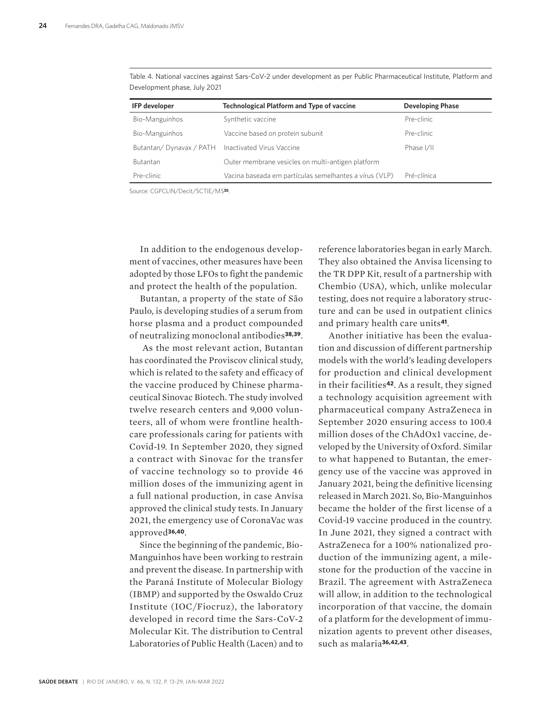| <b>IFP</b> developer                                 | <b>Technological Platform and Type of vaccine</b>      | <b>Developing Phase</b> |
|------------------------------------------------------|--------------------------------------------------------|-------------------------|
| Bio-Manguinhos                                       | Synthetic vaccine                                      | Pre-clinic              |
| Bio-Manguinhos                                       | Vaccine based on protein subunit                       | Pre-clinic              |
| Butantan/Dynavax / PATH    Inactivated Virus Vaccine |                                                        | Phase I/II              |
| <b>Butantan</b>                                      | Outer membrane vesicles on multi-antigen platform      |                         |
| Pre-clinic                                           | Vacina baseada em partículas semelhantes a vírus (VLP) | Pré-clínica             |
|                                                      |                                                        |                         |

Table 4. National vaccines against Sars-CoV-2 under development as per Public Pharmaceutical Institute, Platform and Development phase, July 2021

Source: CGPCLIN/Decit/SCTIE/MS**35**.

In addition to the endogenous development of vaccines, other measures have been adopted by those LFOs to fight the pandemic and protect the health of the population.

Butantan, a property of the state of São Paulo, is developing studies of a serum from horse plasma and a product compounded of neutralizing monoclonal antibodies**38,39**.

 As the most relevant action, Butantan has coordinated the Proviscov clinical study, which is related to the safety and efficacy of the vaccine produced by Chinese pharmaceutical Sinovac Biotech. The study involved twelve research centers and 9,000 volunteers, all of whom were frontline healthcare professionals caring for patients with Covid-19. In September 2020, they signed a contract with Sinovac for the transfer of vaccine technology so to provide 46 million doses of the immunizing agent in a full national production, in case Anvisa approved the clinical study tests. In January 2021, the emergency use of CoronaVac was approved**36,40**.

Since the beginning of the pandemic, Bio-Manguinhos have been working to restrain and prevent the disease. In partnership with the Paraná Institute of Molecular Biology (IBMP) and supported by the Oswaldo Cruz Institute (IOC/Fiocruz), the laboratory developed in record time the Sars-CoV-2 Molecular Kit. The distribution to Central Laboratories of Public Health (Lacen) and to

reference laboratories began in early March. They also obtained the Anvisa licensing to the TR DPP Kit, result of a partnership with Chembio (USA), which, unlike molecular testing, does not require a laboratory structure and can be used in outpatient clinics and primary health care units**41**.

Another initiative has been the evaluation and discussion of different partnership models with the world's leading developers for production and clinical development in their facilities**42**. As a result, they signed a technology acquisition agreement with pharmaceutical company AstraZeneca in September 2020 ensuring access to 100.4 million doses of the ChAdOx1 vaccine, developed by the University of Oxford. Similar to what happened to Butantan, the emergency use of the vaccine was approved in January 2021, being the definitive licensing released in March 2021. So, Bio-Manguinhos became the holder of the first license of a Covid-19 vaccine produced in the country. In June 2021, they signed a contract with AstraZeneca for a 100% nationalized production of the immunizing agent, a milestone for the production of the vaccine in Brazil. The agreement with AstraZeneca will allow, in addition to the technological incorporation of that vaccine, the domain of a platform for the development of immunization agents to prevent other diseases, such as malaria**36,42,43**.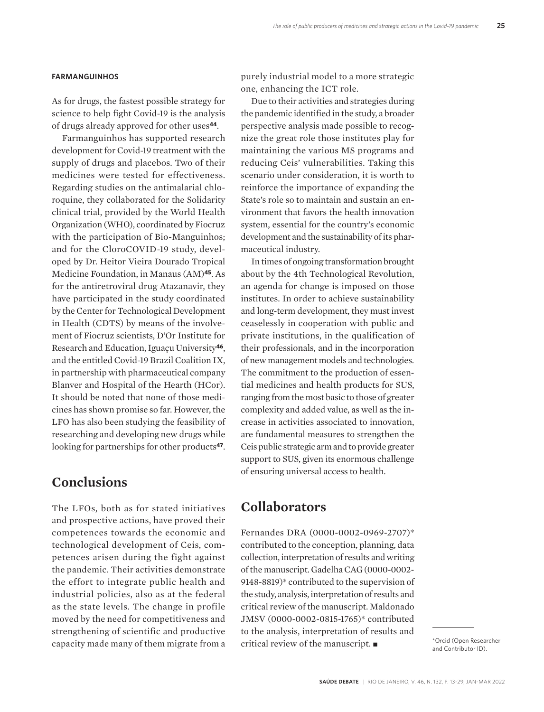#### **FARMANGUINHOS**

As for drugs, the fastest possible strategy for science to help fight Covid-19 is the analysis of drugs already approved for other uses**44**.

Farmanguinhos has supported research development for Covid-19 treatment with the supply of drugs and placebos. Two of their medicines were tested for effectiveness. Regarding studies on the antimalarial chloroquine, they collaborated for the Solidarity clinical trial, provided by the World Health Organization (WHO), coordinated by Fiocruz with the participation of Bio-Manguinhos; and for the CloroCOVID-19 study, developed by Dr. Heitor Vieira Dourado Tropical Medicine Foundation, in Manaus (AM)**45**. As for the antiretroviral drug Atazanavir, they have participated in the study coordinated by the Center for Technological Development in Health (CDTS) by means of the involvement of Fiocruz scientists, D'Or Institute for Research and Education, Iguaçu University**46**, and the entitled Covid-19 Brazil Coalition IX, in partnership with pharmaceutical company Blanver and Hospital of the Hearth (HCor). It should be noted that none of those medicines has shown promise so far. However, the LFO has also been studying the feasibility of researching and developing new drugs while looking for partnerships for other products**47**.

# **Conclusions**

The LFOs, both as for stated initiatives and prospective actions, have proved their competences towards the economic and technological development of Ceis, competences arisen during the fight against the pandemic. Their activities demonstrate the effort to integrate public health and industrial policies, also as at the federal as the state levels. The change in profile moved by the need for competitiveness and strengthening of scientific and productive capacity made many of them migrate from a

purely industrial model to a more strategic one, enhancing the ICT role.

Due to their activities and strategies during the pandemic identified in the study, a broader perspective analysis made possible to recognize the great role those institutes play for maintaining the various MS programs and reducing Ceis' vulnerabilities. Taking this scenario under consideration, it is worth to reinforce the importance of expanding the State's role so to maintain and sustain an environment that favors the health innovation system, essential for the country's economic development and the sustainability of its pharmaceutical industry.

In times of ongoing transformation brought about by the 4th Technological Revolution, an agenda for change is imposed on those institutes. In order to achieve sustainability and long-term development, they must invest ceaselessly in cooperation with public and private institutions, in the qualification of their professionals, and in the incorporation of new management models and technologies. The commitment to the production of essential medicines and health products for SUS, ranging from the most basic to those of greater complexity and added value, as well as the increase in activities associated to innovation, are fundamental measures to strengthen the Ceis public strategic arm and to provide greater support to SUS, given its enormous challenge of ensuring universal access to health.

### **Collaborators**

Fernandes DRA (0000-0002-0969-2707)\* contributed to the conception, planning, data collection, interpretation of results and writing of the manuscript. Gadelha CAG (0000-0002- 9148-8819)\* contributed to the supervision of the study, analysis, interpretation of results and critical review of the manuscript. Maldonado JMSV (0000-0002-0815-1765)\* contributed to the analysis, interpretation of results and critical review of the manuscript.

and Contributor ID).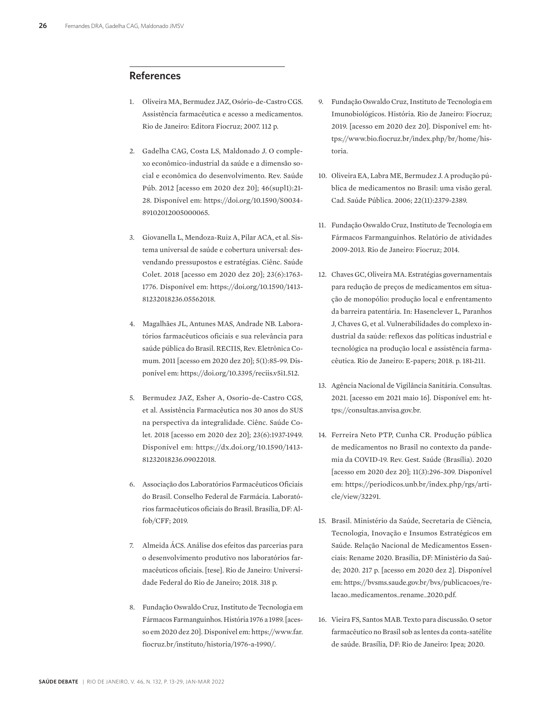### **References**

- 1. Oliveira MA, Bermudez JAZ, Osório-de-Castro CGS. Assistência farmacêutica e acesso a medicamentos. Rio de Janeiro: Editora Fiocruz; 2007. 112 p.
- 2. Gadelha CAG, Costa LS, Maldonado J. O complexo econômico-industrial da saúde e a dimensão social e econômica do desenvolvimento. Rev. Saúde Púb. 2012 [acesso em 2020 dez 20]; 46(supl1):21- 28. Disponível em: https://doi.org/10.1590/S0034- 89102012005000065.
- 3. Giovanella L, Mendoza-Ruiz A, Pilar ACA, et al. Sistema universal de saúde e cobertura universal: desvendando pressupostos e estratégias. Ciênc. Saúde Colet. 2018 [acesso em 2020 dez 20]; 23(6):1763- 1776. Disponível em: https://doi.org/10.1590/1413- 81232018236.05562018.
- 4. Magalhães JL, Antunes MAS, Andrade NB. Laboratórios farmacêuticos oficiais e sua relevância para saúde pública do Brasil. RECIIS, Rev. Eletrônica Comum. 2011 [acesso em 2020 dez 20]; 5(1):85-99. Disponível em: https://doi.org/10.3395/reciis.v5i1.512.
- 5. Bermudez JAZ, Esher A, Osorio-de-Castro CGS, et al. Assistência Farmacêutica nos 30 anos do SUS na perspectiva da integralidade. Ciênc. Saúde Colet. 2018 [acesso em 2020 dez 20]; 23(6):1937-1949. Disponível em: https://dx.doi.org/10.1590/1413- 81232018236.09022018.
- 6. Associação dos Laboratórios Farmacêuticos Oficiais do Brasil. Conselho Federal de Farmácia. Laboratórios farmacêuticos oficiais do Brasil. Brasília, DF: Alfob/CFF; 2019.
- 7. Almeida ÁCS. Análise dos efeitos das parcerias para o desenvolvimento produtivo nos laboratórios farmacêuticos oficiais. [tese]. Rio de Janeiro: Universidade Federal do Rio de Janeiro; 2018. 318 p.
- 8. Fundação Oswaldo Cruz, Instituto de Tecnologia em Fármacos Farmanguinhos. História 1976 a 1989. [acesso em 2020 dez 20]. Disponível em: https://www.far. fiocruz.br/instituto/historia/1976-a-1990/.
- 9. Fundação Oswaldo Cruz, Instituto de Tecnologia em Imunobiológicos. História. Rio de Janeiro: Fiocruz; 2019. [acesso em 2020 dez 20]. Disponível em: https://www.bio.fiocruz.br/index.php/br/home/historia.
- 10. Oliveira EA, Labra ME, Bermudez J. A produção pública de medicamentos no Brasil: uma visão geral. Cad. Saúde Pública. 2006; 22(11):2379-2389.
- 11. Fundação Oswaldo Cruz, Instituto de Tecnologia em Fármacos Farmanguinhos. Relatório de atividades 2009-2013. Rio de Janeiro: Fiocruz; 2014.
- 12. Chaves GC, Oliveira MA. Estratégias governamentais para redução de preços de medicamentos em situação de monopólio: produção local e enfrentamento da barreira patentária. In: Hasenclever L, Paranhos J, Chaves G, et al. Vulnerabilidades do complexo industrial da saúde: reflexos das políticas industrial e tecnológica na produção local e assistência farmacêutica. Rio de Janeiro: E-papers; 2018. p. 181-211.
- 13. Agência Nacional de Vigilância Sanitária. Consultas. 2021. [acesso em 2021 maio 16]. Disponível em: https://consultas.anvisa.gov.br.
- 14. Ferreira Neto PTP, Cunha CR. Produção pública de medicamentos no Brasil no contexto da pandemia da COVID-19. Rev. Gest. Saúde (Brasília). 2020 [acesso em 2020 dez 20]; 11(3):296-309. Disponível em: https://periodicos.unb.br/index.php/rgs/article/view/32291.
- 15. Brasil. Ministério da Saúde, Secretaria de Ciência, Tecnologia, Inovação e Insumos Estratégicos em Saúde. Relação Nacional de Medicamentos Essenciais: Rename 2020. Brasília, DF: Ministério da Saúde; 2020. 217 p. [acesso em 2020 dez 2]. Disponível em: https://bvsms.saude.gov.br/bvs/publicacoes/relacao\_medicamentos\_rename\_2020.pdf.
- 16. Vieira FS, Santos MAB. Texto para discussão. O setor farmacêutico no Brasil sob as lentes da conta-satélite de saúde. Brasília, DF: Rio de Janeiro: Ipea; 2020.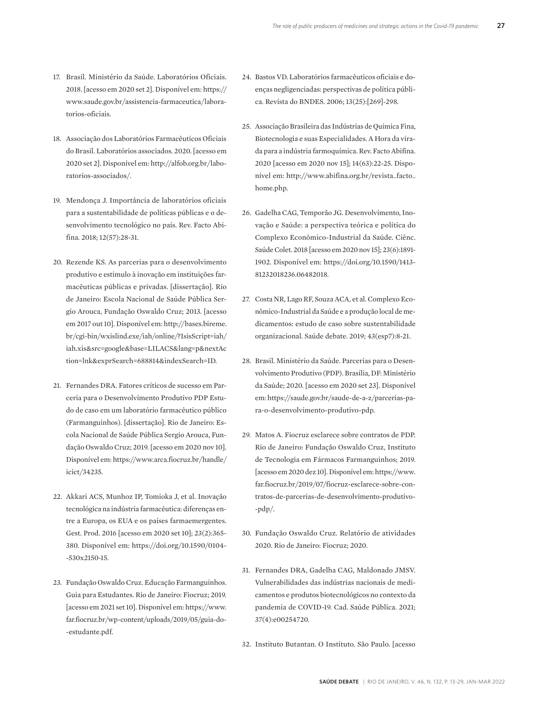- 17. Brasil. Ministério da Saúde. Laboratórios Oficiais. 2018. [acesso em 2020 set 2]. Disponível em: https:// www.saude.gov.br/assistencia-farmaceutica/laboratorios-oficiais.
- 18. Associação dos Laboratórios Farmacêuticos Oficiais do Brasil. Laboratórios associados. 2020. [acesso em 2020 set 2]. Disponível em: http://alfob.org.br/laboratorios-associados/.
- 19. Mendonça J. Importância de laboratórios oficiais para a sustentabilidade de políticas públicas e o desenvolvimento tecnológico no país. Rev. Facto Abifina. 2018; 12(57):28-31.
- 20. Rezende KS. As parcerias para o desenvolvimento produtivo e estímulo à inovação em instituições farmacêuticas públicas e privadas. [dissertação]. Rio de Janeiro: Escola Nacional de Saúde Pública Sergio Arouca, Fundação Oswaldo Cruz; 2013. [acesso em 2017 out 10]. Disponível em: http://bases.bireme. br/cgi-bin/wxislind.exe/iah/online/?IsisScript=iah/ iah.xis&src=google&base=LILACS&lang=p&nextAc tion=lnk&exprSearch=688814&indexSearch=ID.
- 21. Fernandes DRA. Fatores críticos de sucesso em Parceria para o Desenvolvimento Produtivo PDP Estudo de caso em um laboratório farmacêutico público (Farmanguinhos). [dissertação]. Rio de Janeiro: Escola Nacional de Saúde Pública Sergio Arouca, Fundação Oswaldo Cruz; 2019. [acesso em 2020 nov 10]. Disponível em: https://www.arca.fiocruz.br/handle/ icict/34235.
- 22. Akkari ACS, Munhoz IP, Tomioka J, et al. Inovação tecnológica na indústria farmacêutica: diferenças entre a Europa, os EUA e os países farmaemergentes. Gest. Prod. 2016 [acesso em 2020 set 10]; 23(2):365- 380. Disponível em: https://doi.org/10.1590/0104- -530x2150-15.
- 23. Fundação Oswaldo Cruz. Educação Farmanguinhos. Guia para Estudantes. Rio de Janeiro: Fiocruz; 2019. [acesso em 2021 set 10]. Disponível em: https://www. far.fiocruz.br/wp-content/uploads/2019/05/guia-do- -estudante.pdf.
- 24. Bastos VD. Laboratórios farmacêuticos oficiais e doenças negligenciadas: perspectivas de política pública. Revista do BNDES. 2006; 13(25):[269]-298.
- 25. Associação Brasileira das Indústrias de Química Fina, Biotecnologia e suas Especialidades. A Hora da virada para a indústria farmoquímica. Rev. Facto Abifina. 2020 [acesso em 2020 nov 15]; 14(63):22-25. Disponível em: http://www.abifina.org.br/revista\_facto\_ home.php.
- 26. Gadelha CAG, Temporão JG. Desenvolvimento, Inovação e Saúde: a perspectiva teórica e política do Complexo Econômico-Industrial da Saúde. Ciênc. Saúde Colet. 2018 [acesso em 2020 nov 15]; 23(6):1891- 1902. Disponível em: https://doi.org/10.1590/1413- 81232018236.06482018.
- 27. Costa NR, Lago RF, Souza ACA, et al. Complexo Econômico-Industrial da Saúde e a produção local de medicamentos: estudo de caso sobre sustentabilidade organizacional. Saúde debate. 2019; 43(esp7):8-21.
- 28. Brasil. Ministério da Saúde. Parcerias para o Desenvolvimento Produtivo (PDP). Brasília, DF: Ministério da Saúde; 2020. [acesso em 2020 set 23]. Disponível em: https://saude.gov.br/saude-de-a-z/parcerias-para-o-desenvolvimento-produtivo-pdp.
- 29. Matos A. Fiocruz esclarece sobre contratos de PDP. Rio de Janeiro: Fundação Oswaldo Cruz, Instituto de Tecnologia em Fármacos Farmanguinhos; 2019. [acesso em 2020 dez 10]. Disponível em: https://www. far.fiocruz.br/2019/07/fiocruz-esclarece-sobre-contratos-de-parcerias-de-desenvolvimento-produtivo- -pdp/.
- 30. Fundação Oswaldo Cruz. Relatório de atividades 2020. Rio de Janeiro: Fiocruz; 2020.
- 31. Fernandes DRA, Gadelha CAG, Maldonado JMSV. Vulnerabilidades das indústrias nacionais de medicamentos e produtos biotecnológicos no contexto da pandemia de COVID-19. Cad. Saúde Pública. 2021; 37(4):e00254720.

32. Instituto Butantan. O Instituto. São Paulo. [acesso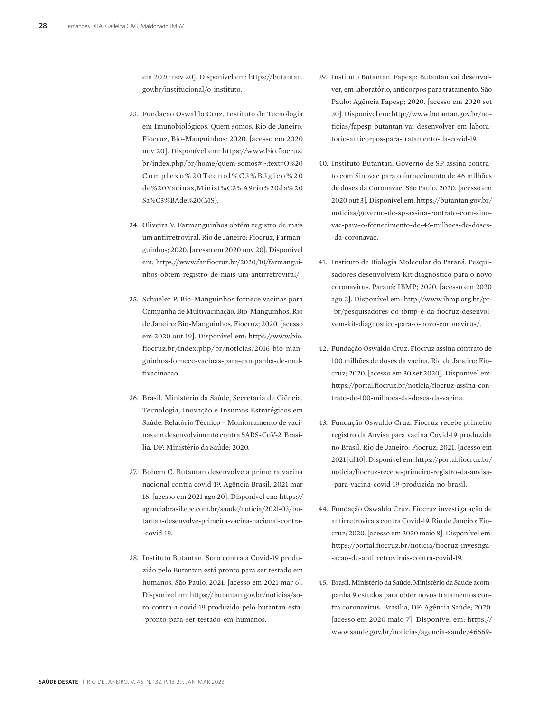em 2020 nov 20]. Disponível em: https://butantan. gov.br/institucional/o-instituto.

- 33. Fundação Oswaldo Cruz, Instituto de Tecnologia em Imunobiológicos. Quem somos. Rio de Janeiro: Fiocruz, Bio-Manguinhos; 2020. [acesso em 2020 nov 20]. Disponível em: https://www.bio.fiocruz. br/index.php/br/home/quem-somos#:~:text=O%20 Complexo%20Tecnol%C3%B3gico%20 de%20Vacinas,Minist%C3%A9rio%20da%20 Sa%C3%BAde%20(MS).
- 34. Oliveira V. Farmanguinhos obtém registro de mais um antirretroviral. Rio de Janeiro: Fiocruz, Farmanguinhos; 2020. [acesso em 2020 nov 20]. Disponível em: https://www.far.fiocruz.br/2020/10/farmanguinhos-obtem-registro-de-mais-um-antirretroviral/.
- 35. Schueler P. Bio-Manguinhos fornece vacinas para Campanha de Multivacinação. Bio-Manguinhos. Rio de Janeiro: Bio-Manguinhos, Fiocruz; 2020. [acesso em 2020 out 19]. Disponível em: https://www.bio. fiocruz.br/index.php/br/noticias/2016-bio-manguinhos-fornece-vacinas-para-campanha-de-multivacinacao.
- 36. Brasil. Ministério da Saúde, Secretaria de Ciência, Tecnologia, Inovação e Insumos Estratégicos em Saúde. Relatório Técnico – Monitoramento de vacinas em desenvolvimento contra SARS-CoV-2. Brasília, DF: Ministério da Saúde; 2020.
- 37. Bohem C. Butantan desenvolve a primeira vacina nacional contra covid-19. Agência Brasil. 2021 mar 16. [acesso em 2021 ago 20]. Disponível em: https:// agenciabrasil.ebc.com.br/saude/noticia/2021-03/butantan-desenvolve-primeira-vacina-nacional-contra- -covid-19.
- 38. Instituto Butantan. Soro contra a Covid-19 produzido pelo Butantan está pronto para ser testado em humanos. São Paulo. 2021. [acesso em 2021 mar 6]. Disponível em: https://butantan.gov.br/noticias/soro-contra-a-covid-19-produzido-pelo-butantan-esta- -pronto-para-ser-testado-em-humanos.
- 39. Instituto Butantan. Fapesp: Butantan vai desenvolver, em laboratório, anticorpos para tratamento. São Paulo: Agência Fapesp; 2020. [acesso em 2020 set 30]. Disponível em: http://www.butantan.gov.br/noticias/fapesp-butantan-vai-desenvolver-em-laboratorio-anticorpos-para-tratamento-da-covid-19.
- 40. Instituto Butantan. Governo de SP assina contrato com Sinovac para o fornecimento de 46 milhões de doses da Coronavac. São Paulo. 2020. [acesso em 2020 out 3]. Disponível em: https://butantan.gov.br/ noticias/governo-de-sp-assina-contrato-com-sinovac-para-o-fornecimento-de-46-milhoes-de-doses- -da-coronavac.
- 41. Instituto de Biologia Molecular do Paraná. Pesquisadores desenvolvem Kit diagnóstico para o novo coronavírus. Paraná: IBMP; 2020. [acesso em 2020 ago 2]. Disponível em: http://www.ibmp.org.br/pt- -br/pesquisadores-do-ibmp-e-da-fiocruz-desenvolvem-kit-diagnostico-para-o-novo-coronavirus/.
- 42. Fundação Oswaldo Cruz. Fiocruz assina contrato de 100 milhões de doses da vacina. Rio de Janeiro: Fiocruz; 2020. [acesso em 30 set 2020]. Disponível em: https://portal.fiocruz.br/noticia/fiocruz-assina-contrato-de-100-milhoes-de-doses-da-vacina.
- 43. Fundação Oswaldo Cruz. Fiocruz recebe primeiro registro da Anvisa para vacina Covid-19 produzida no Brasil. Rio de Janeiro: Fiocruz; 2021. [acesso em 2021 jul 10]. Disponível em: https://portal.fiocruz.br/ noticia/fiocruz-recebe-primeiro-registro-da-anvisa- -para-vacina-covid-19-produzida-no-brasil.
- 44. Fundação Oswaldo Cruz. Fiocruz investiga ação de antirretrovirais contra Covid-19. Rio de Janeiro: Fiocruz; 2020. [acesso em 2020 maio 8]. Disponível em: https://portal.fiocruz.br/noticia/fiocruz-investiga- -acao-de-antirretrovirais-contra-covid-19.
- 45. Brasil. Ministério da Saúde. Ministério da Saúde acompanha 9 estudos para obter novos tratamentos contra coronavírus. Brasília, DF: Agência Saúde; 2020. [acesso em 2020 maio 7]. Disponível em: https:// www.saude.gov.br/noticias/agencia-saude/46669-